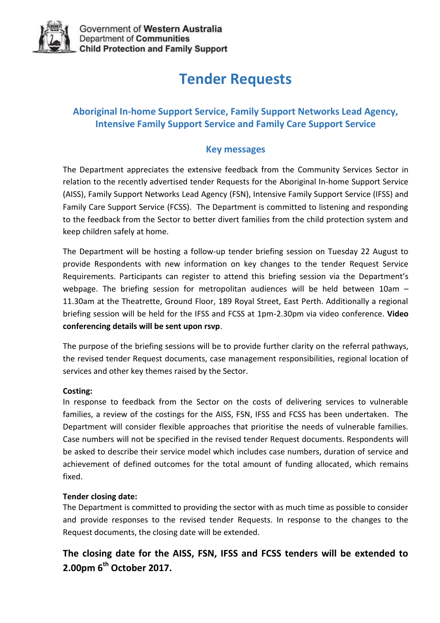

# **Tender Requests**

### **Aboriginal In-home Support Service, Family Support Networks Lead Agency, Intensive Family Support Service and Family Care Support Service**

#### **Key messages**

The Department appreciates the extensive feedback from the Community Services Sector in relation to the recently advertised tender Requests for the Aboriginal In-home Support Service (AISS), Family Support Networks Lead Agency (FSN), Intensive Family Support Service (IFSS) and Family Care Support Service (FCSS). The Department is committed to listening and responding to the feedback from the Sector to better divert families from the child protection system and keep children safely at home.

The Department will be hosting a follow-up tender briefing session on Tuesday 22 August to provide Respondents with new information on key changes to the tender Request Service Requirements. Participants can register to attend this briefing session via the Department's webpage. The briefing session for metropolitan audiences will be held between 10am – 11.30am at the Theatrette, Ground Floor, 189 Royal Street, East Perth. Additionally a regional briefing session will be held for the IFSS and FCSS at 1pm-2.30pm via video conference. **Video conferencing details will be sent upon rsvp**.

The purpose of the briefing sessions will be to provide further clarity on the referral pathways, the revised tender Request documents, case management responsibilities, regional location of services and other key themes raised by the Sector.

#### **Costing:**

In response to feedback from the Sector on the costs of delivering services to vulnerable families, a review of the costings for the AISS, FSN, IFSS and FCSS has been undertaken. The Department will consider flexible approaches that prioritise the needs of vulnerable families. Case numbers will not be specified in the revised tender Request documents. Respondents will be asked to describe their service model which includes case numbers, duration of service and achievement of defined outcomes for the total amount of funding allocated, which remains fixed.

#### **Tender closing date:**

The Department is committed to providing the sector with as much time as possible to consider and provide responses to the revised tender Requests. In response to the changes to the Request documents, the closing date will be extended.

### **The closing date for the AISS, FSN, IFSS and FCSS tenders will be extended to 2.00pm 6 th October 2017.**